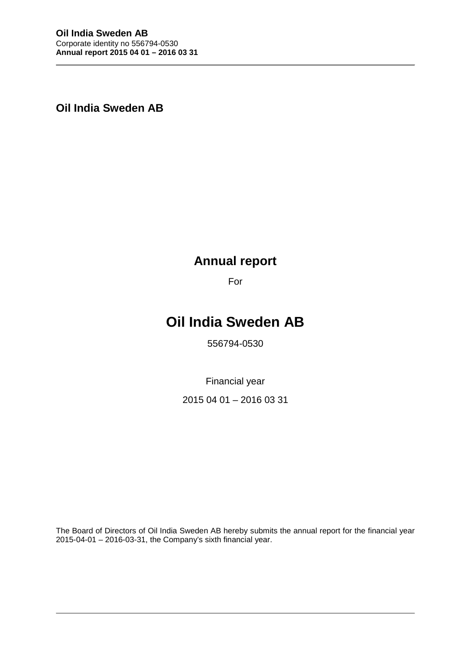**Oil India Sweden AB**

# **Annual report**

For

# **Oil India Sweden AB**

556794-0530

Financial year

2015 04 01 – 2016 03 31

The Board of Directors of Oil India Sweden AB hereby submits the annual report for the financial year 2015-04-01 – 2016-03-31, the Company's sixth financial year.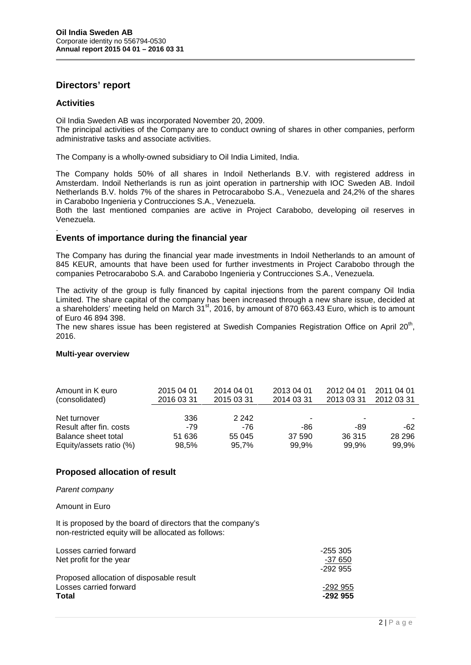# **Directors' report**

# **Activities**

Oil India Sweden AB was incorporated November 20, 2009.

The principal activities of the Company are to conduct owning of shares in other companies, perform administrative tasks and associate activities.

The Company is a wholly-owned subsidiary to Oil India Limited, India.

The Company holds 50% of all shares in Indoil Netherlands B.V. with registered address in Amsterdam. Indoil Netherlands is run as joint operation in partnership with IOC Sweden AB. Indoil Netherlands B.V. holds 7% of the shares in Petrocarabobo S.A., Venezuela and 24,2% of the shares in Carabobo Ingenieria y Contrucciones S.A., Venezuela.

Both the last mentioned companies are active in Project Carabobo, developing oil reserves in Venezuela.

#### .**Events of importance during the financial year**

The Company has during the financial year made investments in Indoil Netherlands to an amount of 845 KEUR, amounts that have been used for further investments in Project Carabobo through the companies Petrocarabobo S.A. and Carabobo Ingenieria y Contrucciones S.A., Venezuela.

The activity of the group is fully financed by capital injections from the parent company Oil India Limited. The share capital of the company has been increased through a new share issue, decided at a shareholders' meeting held on March  $31^{st}$ , 2016, by amount of 870 663.43 Euro, which is to amount of Euro 46 894 398.

The new shares issue has been registered at Swedish Companies Registration Office on April 20<sup>th</sup>, 2016.

#### **Multi-year overview**

| Amount in K euro<br>(consolidated) | 2015 04 01<br>2016 03 31 | 2014 04 01<br>2015 03 31 | 2013 04 01<br>2014 03 31 | 2012 04 01<br>2013 03 31 | 2011 04 01<br>2012 03 31 |
|------------------------------------|--------------------------|--------------------------|--------------------------|--------------------------|--------------------------|
| Net turnover                       | 336                      | 2 2 4 2                  | $\overline{\phantom{0}}$ |                          |                          |
| Result after fin. costs            | $-79$                    | -76                      | -86                      | -89                      | $-62$                    |
| Balance sheet total                | 51 636                   | 55 045                   | 37 590                   | 36 315                   | 28 29 6                  |
| Equity/assets ratio (%)            | 98,5%                    | 95,7%                    | 99.9%                    | 99,9%                    | 99,9%                    |

### **Proposed allocation of result**

#### *Parent company*

#### Amount in Euro

It is proposed by the board of directors that the company's non-restricted equity will be allocated as follows:

| Losses carried forward                   | -255 305  |
|------------------------------------------|-----------|
| Net profit for the year                  | -37 650   |
|                                          | -292 955  |
| Proposed allocation of disposable result |           |
| Losses carried forward                   | -292 955  |
| Total                                    | $-292955$ |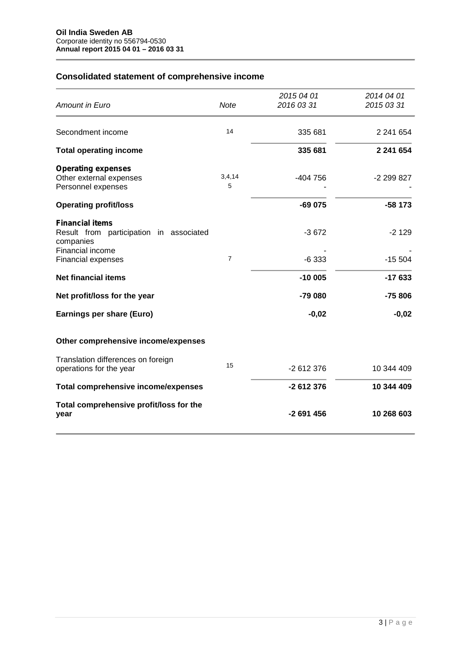# **Consolidated statement of comprehensive income**

| <b>Amount in Euro</b>                                                          | Note           | 2015 04 01<br>2016 03 31 | 2014 04 01<br>2015 03 31 |
|--------------------------------------------------------------------------------|----------------|--------------------------|--------------------------|
| Secondment income                                                              | 14             | 335 681                  | 2 241 654                |
| <b>Total operating income</b>                                                  |                | 335 681                  | 2 241 654                |
| <b>Operating expenses</b><br>Other external expenses<br>Personnel expenses     | 3,4,14<br>5    | -404 756                 | -2 299 827               |
| <b>Operating profit/loss</b>                                                   |                | $-69075$                 | $-58173$                 |
| <b>Financial items</b><br>Result from participation in associated<br>companies |                | $-3672$                  | $-2129$                  |
| Financial income<br>Financial expenses                                         | $\overline{7}$ | $-6333$                  | $-15504$                 |
| <b>Net financial items</b>                                                     |                | $-10005$                 | $-17633$                 |
| Net profit/loss for the year                                                   |                | -79 080                  | -75 806                  |
| Earnings per share (Euro)                                                      |                | $-0,02$                  | $-0,02$                  |
| Other comprehensive income/expenses                                            |                |                          |                          |
| Translation differences on foreign<br>operations for the year                  | 15             | -2 612 376               | 10 344 409               |
| <b>Total comprehensive income/expenses</b>                                     |                | -2 612 376               | 10 344 409               |
| Total comprehensive profit/loss for the<br>year                                |                | $-2691456$               | 10 268 603               |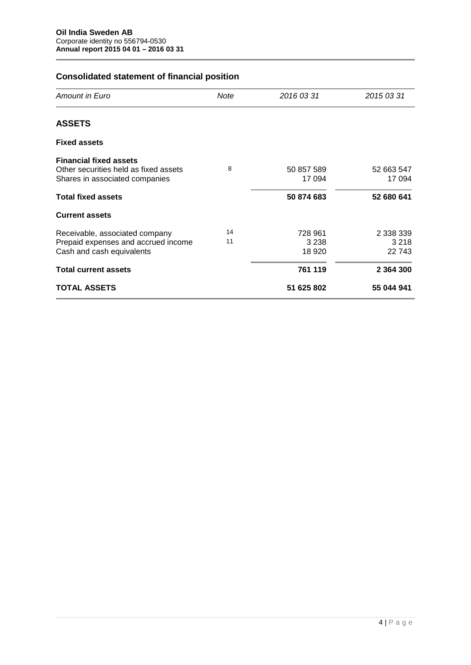# **Consolidated statement of financial position**

| Amount in Euro                                                                                           | Note     | 2016 03 31                    | 2015 03 31                     |
|----------------------------------------------------------------------------------------------------------|----------|-------------------------------|--------------------------------|
| <b>ASSETS</b>                                                                                            |          |                               |                                |
| <b>Fixed assets</b>                                                                                      |          |                               |                                |
| <b>Financial fixed assets</b><br>Other securities held as fixed assets<br>Shares in associated companies | 8        | 50 857 589<br>17 094          | 52 663 547<br>17 094           |
| <b>Total fixed assets</b>                                                                                |          | 50 874 683                    | 52 680 641                     |
| <b>Current assets</b>                                                                                    |          |                               |                                |
| Receivable, associated company<br>Prepaid expenses and accrued income<br>Cash and cash equivalents       | 14<br>11 | 728 961<br>3 2 3 8<br>18 9 20 | 2 338 339<br>3 2 1 8<br>22 743 |
| <b>Total current assets</b>                                                                              |          | 761 119                       | 2 3 6 4 3 0 0                  |
| <b>TOTAL ASSETS</b>                                                                                      |          | 51 625 802                    | 55 044 941                     |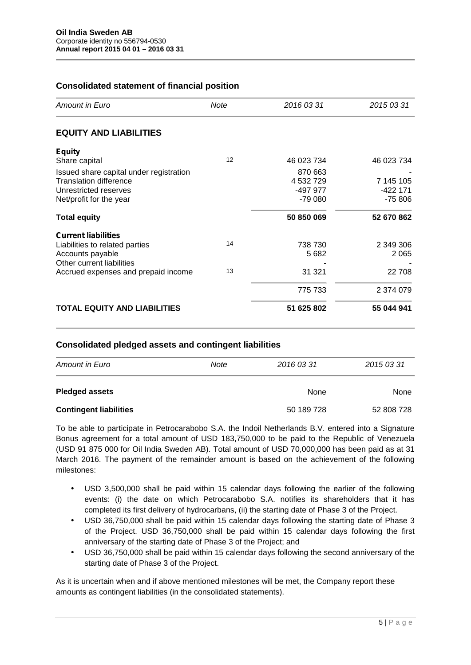# **Consolidated statement of financial position**

| Amount in Euro                          | Note | 2016 03 31 | 2015 03 31 |
|-----------------------------------------|------|------------|------------|
| <b>EQUITY AND LIABILITIES</b>           |      |            |            |
| <b>Equity</b>                           |      |            |            |
| Share capital                           | 12   | 46 023 734 | 46 023 734 |
| Issued share capital under registration |      | 870 663    |            |
| <b>Translation difference</b>           |      | 4 532 729  | 7 145 105  |
| Unrestricted reserves                   |      | -497 977   | $-422171$  |
| Net/profit for the year                 |      | $-79000$   | $-75806$   |
| <b>Total equity</b>                     |      | 50 850 069 | 52 670 862 |
| <b>Current liabilities</b>              |      |            |            |
| Liabilities to related parties          | 14   | 738 730    | 2 349 306  |
| Accounts payable                        |      | 5 6 8 2    | 2 0 6 5    |
| Other current liabilities               |      |            |            |
| Accrued expenses and prepaid income     | 13   | 31 321     | 22 708     |
|                                         |      | 775 733    | 2 374 079  |
| <b>TOTAL EQUITY AND LIABILITIES</b>     |      | 51 625 802 | 55 044 941 |

### **Consolidated pledged assets and contingent liabilities**

| <b>Amount in Euro</b><br>Note |  | 2016 03 31 | 2015 03 31 |  |
|-------------------------------|--|------------|------------|--|
| <b>Pledged assets</b>         |  | None       | None       |  |
| <b>Contingent liabilities</b> |  | 50 189 728 | 52 808 728 |  |

To be able to participate in Petrocarabobo S.A. the Indoil Netherlands B.V. entered into a Signature Bonus agreement for a total amount of USD 183,750,000 to be paid to the Republic of Venezuela (USD 91 875 000 for Oil India Sweden AB). Total amount of USD 70,000,000 has been paid as at 31 March 2016. The payment of the remainder amount is based on the achievement of the following milestones:

- USD 3,500,000 shall be paid within 15 calendar days following the earlier of the following events: (i) the date on which Petrocarabobo S.A. notifies its shareholders that it has completed its first delivery of hydrocarbans, (ii) the starting date of Phase 3 of the Project.
- USD 36,750,000 shall be paid within 15 calendar days following the starting date of Phase 3 of the Project. USD 36,750,000 shall be paid within 15 calendar days following the first anniversary of the starting date of Phase 3 of the Project; and
- USD 36,750,000 shall be paid within 15 calendar days following the second anniversary of the starting date of Phase 3 of the Project.

hese<br>5 | P a g e As it is uncertain when and if above mentioned milestones will be met, the Company report these amounts as contingent liabilities (in the consolidated statements).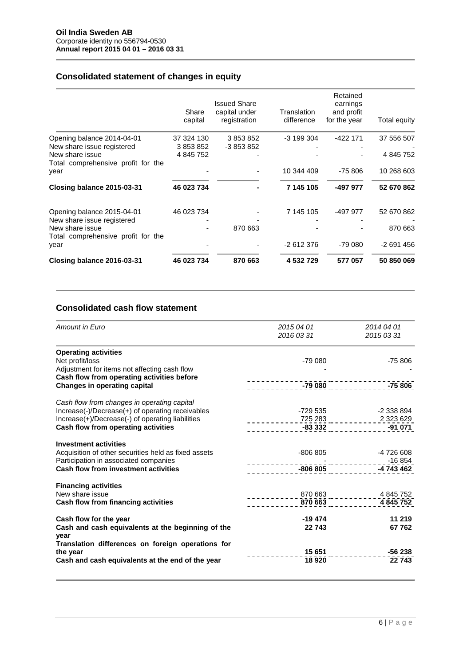# **Consolidated statement of changes in equity**

|                                                       | Share<br>capital | <b>Issued Share</b><br>capital under<br>registration | Translation<br>difference | Retained<br>earnings<br>and profit<br>for the year | Total equity |
|-------------------------------------------------------|------------------|------------------------------------------------------|---------------------------|----------------------------------------------------|--------------|
| Opening balance 2014-04-01                            | 37 324 130       | 3 853 852                                            | $-3199304$                | $-422$ 171                                         | 37 556 507   |
| New share issue registered                            | 3 853 852        | -3 853 852                                           |                           |                                                    |              |
| New share issue<br>Total comprehensive profit for the | 4 845 752        |                                                      |                           |                                                    | 4 845 752    |
| year                                                  |                  |                                                      | 10 344 409                | $-75806$                                           | 10 268 603   |
| Closing balance 2015-03-31                            | 46 023 734       |                                                      | 7 145 105                 | -497 977                                           | 52 670 862   |
| Opening balance 2015-04-01                            | 46 023 734       |                                                      | 7 145 105                 | -497 977                                           | 52 670 862   |
| New share issue registered                            |                  |                                                      |                           |                                                    |              |
| New share issue<br>Total comprehensive profit for the |                  | 870 663                                              |                           |                                                    | 870 663      |
| year                                                  |                  |                                                      | $-2612376$                | $-79080$                                           | $-2691456$   |
| Closing balance 2016-03-31                            | 46 023 734       | 870 663                                              | 4 532 729                 | 577 057                                            | 50 850 069   |

# **Consolidated cash flow statement**

| Amount in Euro                                       | 2015 04 01                                     | 2014 04 01                       |
|------------------------------------------------------|------------------------------------------------|----------------------------------|
|                                                      | 2016 03 31                                     | 2015 03 31                       |
| <b>Operating activities</b>                          |                                                |                                  |
| Net profit/loss                                      | $-7900$                                        | $-75806$                         |
| Adjustment for items not affecting cash flow         |                                                |                                  |
| Cash flow from operating activities before           |                                                |                                  |
| <b>Changes in operating capital</b>                  |                                                | $-79\,080$ $-100\,00$ $-75\,806$ |
| Cash flow from changes in operating capital          |                                                |                                  |
| Increase(-)/Decrease(+) of operating receivables     | -729 535                                       | -2 338 894                       |
| Increase(+)/Decrease(-) of operating liabilities     |                                                |                                  |
| Cash flow from operating activities                  | $-2323629$<br>$-83332$<br>$-83332$<br>$-91071$ |                                  |
| <b>Investment activities</b>                         |                                                |                                  |
| Acquisition of other securities held as fixed assets | -806 805                                       | -4 726 608                       |
| Participation in associated companies                |                                                | $-16854$                         |
| Cash flow from investment activities                 |                                                |                                  |
| <b>Financing activities</b>                          |                                                |                                  |
| New share issue                                      |                                                | 870 663 ____________ 4 845 752   |
| Cash flow from financing activities                  |                                                | 4 845 752                        |
| Cash flow for the year                               | -19 474                                        | 11 219                           |
| Cash and cash equivalents at the beginning of the    | 22 743                                         | 67762                            |
| year                                                 |                                                |                                  |
| Translation differences on foreign operations for    |                                                |                                  |
| the year                                             | 15 651                                         | -56 238                          |
| Cash and cash equivalents at the end of the year     | 18 9 20                                        | 22 743                           |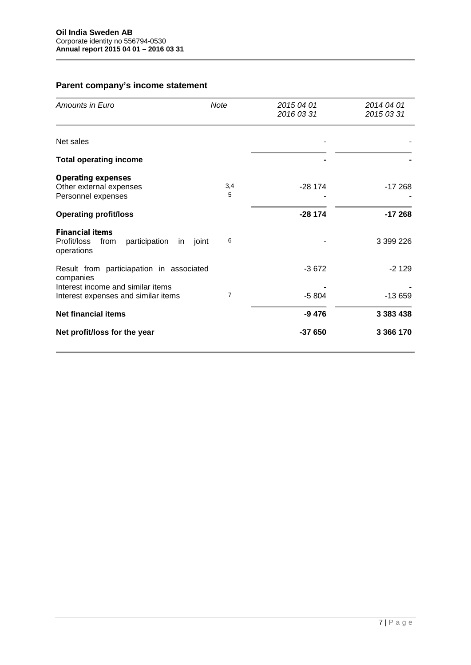# **Parent company's income statement**

| Amounts in Euro                                                                    | <b>Note</b> | 2015 04 01<br>2016 03 31 | 2014 04 01<br>2015 03 31 |
|------------------------------------------------------------------------------------|-------------|--------------------------|--------------------------|
| Net sales                                                                          |             |                          |                          |
| <b>Total operating income</b>                                                      |             |                          |                          |
| <b>Operating expenses</b><br>Other external expenses<br>Personnel expenses         | 3,4<br>5    | $-28174$                 | $-17268$                 |
| <b>Operating profit/loss</b>                                                       |             | $-28174$                 | $-17268$                 |
| <b>Financial items</b><br>Profit/loss<br>participation<br>from<br>in<br>operations | 6<br>joint  |                          | 3 399 226                |
| Result from particiapation in associated<br>companies                              |             | $-3672$                  | $-2129$                  |
| Interest income and similar items<br>Interest expenses and similar items           | 7           | $-5804$                  | $-13659$                 |
| <b>Net financial items</b>                                                         |             | $-9476$                  | 3 383 438                |
| Net profit/loss for the year                                                       |             | $-37650$                 | 3 366 170                |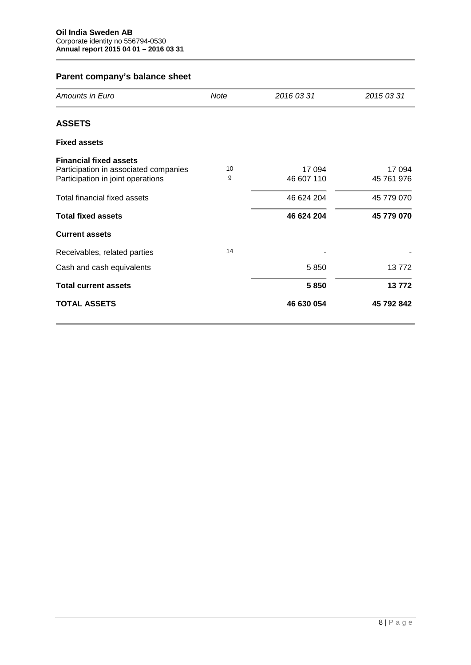| Amounts in Euro                                                            | <b>Note</b> | 2016 03 31           | 2015 03 31           |
|----------------------------------------------------------------------------|-------------|----------------------|----------------------|
| <b>ASSETS</b>                                                              |             |                      |                      |
| <b>Fixed assets</b>                                                        |             |                      |                      |
| <b>Financial fixed assets</b>                                              |             |                      |                      |
| Participation in associated companies<br>Participation in joint operations | 10<br>9     | 17 094<br>46 607 110 | 17 094<br>45 761 976 |
| Total financial fixed assets                                               |             | 46 624 204           | 45 779 070           |
| <b>Total fixed assets</b>                                                  |             | 46 624 204           | 45 779 070           |
| <b>Current assets</b>                                                      |             |                      |                      |
| Receivables, related parties                                               | 14          |                      |                      |
| Cash and cash equivalents                                                  |             | 5850                 | 13772                |
| <b>Total current assets</b>                                                |             | 5850                 | 13772                |
| <b>TOTAL ASSETS</b>                                                        |             | 46 630 054           | 45 792 842           |

# **Parent company's balance sheet**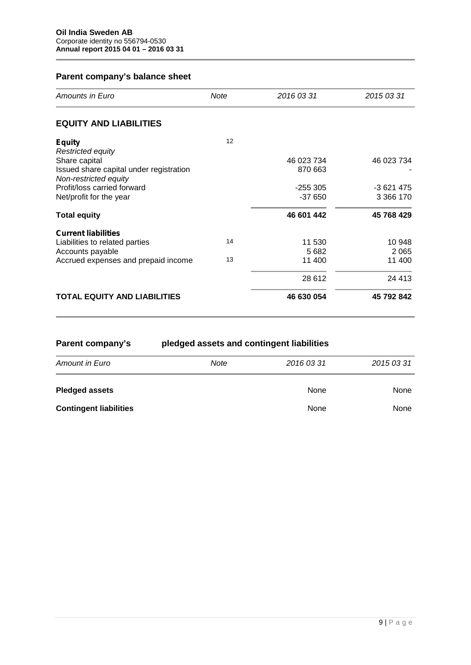# **Parent company's balance sheet**

| Amounts in Euro                                                  | Note | 2016 03 31 | 2015 03 31  |
|------------------------------------------------------------------|------|------------|-------------|
| <b>EQUITY AND LIABILITIES</b>                                    |      |            |             |
| <b>Equity</b>                                                    | 12   |            |             |
| Restricted equity                                                |      |            |             |
| Share capital                                                    |      | 46 023 734 | 46 023 734  |
| Issued share capital under registration<br>Non-restricted equity |      | 870 663    |             |
| Profit/loss carried forward                                      |      | $-255305$  | $-3621475$  |
| Net/profit for the year                                          |      | $-37650$   | 3 3 6 1 7 0 |
| <b>Total equity</b>                                              |      | 46 601 442 | 45 768 429  |
| <b>Current liabilities</b>                                       |      |            |             |
| Liabilities to related parties                                   | 14   | 11 530     | 10 948      |
| Accounts payable                                                 |      | 5 6 8 2    | 2 0 6 5     |
| Accrued expenses and prepaid income                              | 13   | 11 400     | 11 400      |
|                                                                  |      | 28 612     | 24 4 13     |
| <b>TOTAL EQUITY AND LIABILITIES</b>                              |      | 46 630 054 | 45 792 842  |

| Parent company's              | pledged assets and contingent liabilities |            |             |  |  |
|-------------------------------|-------------------------------------------|------------|-------------|--|--|
| <b>Amount in Euro</b>         | Note                                      | 2016 03 31 | 2015 03 31  |  |  |
| <b>Pledged assets</b>         |                                           | None       | <b>None</b> |  |  |
| <b>Contingent liabilities</b> |                                           | None       | None        |  |  |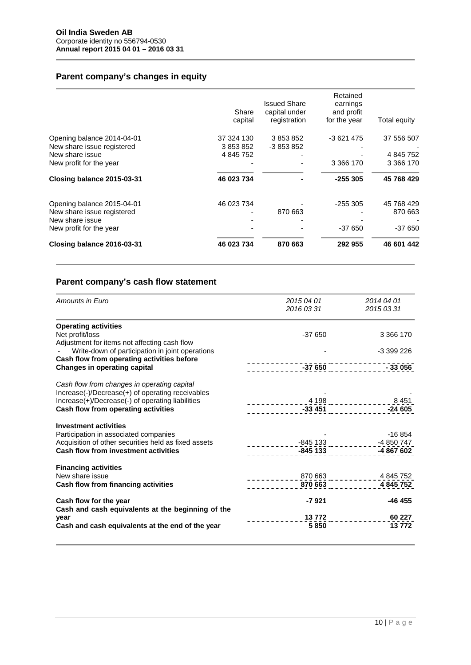# **Parent company's changes in equity**

| Closing balance 2016-03-31 | 46 023 734 | 870 663             | 292 955              | 46 601 442   |
|----------------------------|------------|---------------------|----------------------|--------------|
| New profit for the year    |            |                     | $-37650$             | $-37650$     |
| New share issue            |            |                     |                      |              |
| New share issue registered |            | 870 663             |                      | 870 663      |
| Opening balance 2015-04-01 | 46 023 734 |                     | $-255305$            | 45 768 429   |
| Closing balance 2015-03-31 | 46 023 734 |                     | $-255305$            | 45 768 429   |
| New profit for the year    |            |                     | 3 3 6 1 7 0          | 3 3 6 1 7 0  |
| New share issue            | 4 845 752  |                     |                      | 4 845 752    |
| New share issue registered | 3 853 852  | -3 853 852          |                      |              |
| Opening balance 2014-04-01 | 37 324 130 | 3 853 852           | -3 621 475           | 37 556 507   |
|                            | capital    | registration        | for the year         | Total equity |
|                            | Share      | capital under       | and profit           |              |
|                            |            | <b>Issued Share</b> | Retained<br>earnings |              |

# **Parent company's cash flow statement**

| Amounts in Euro                                                                                 | 2015 04 01 | 2014 04 01                                   |
|-------------------------------------------------------------------------------------------------|------------|----------------------------------------------|
|                                                                                                 | 2016 03 31 | 2015 03 31                                   |
| <b>Operating activities</b>                                                                     |            |                                              |
| Net profit/loss                                                                                 | $-37650$   | 3 366 170                                    |
| Adjustment for items not affecting cash flow<br>Write-down of participation in joint operations |            | -3 399 226                                   |
| Cash flow from operating activities before<br><b>Changes in operating capital</b>               | $-37650$   | - 33 056                                     |
|                                                                                                 |            |                                              |
| Cash flow from changes in operating capital                                                     |            |                                              |
| Increase(-)/Decrease(+) of operating receivables                                                |            |                                              |
| Increase(+)/Decrease(-) of operating liabilities                                                |            |                                              |
| Cash flow from operating activities                                                             |            | $-24605$                                     |
| <b>Investment activities</b>                                                                    |            |                                              |
| Participation in associated companies                                                           |            | $-16854$                                     |
| Acquisition of other securities held as fixed assets                                            |            | <u>-845 133 _ _ _ _ _ _ _ _ _ -4 850 747</u> |
| <b>Cash flow from investment activities</b>                                                     |            | -845 133 -4 867 602                          |
|                                                                                                 |            |                                              |
| <b>Financing activities</b><br>New share issue                                                  |            | 870 663 ____________ 4 845 752               |
| Cash flow from financing activities                                                             |            | 4 845 752                                    |
|                                                                                                 |            |                                              |
| Cash flow for the year                                                                          | $-7921$    | $-46455$                                     |
| Cash and cash equivalents at the beginning of the                                               |            |                                              |
| year                                                                                            | 13 772     | 60 227                                       |
| Cash and cash equivalents at the end of the year                                                | 5850       | 13772                                        |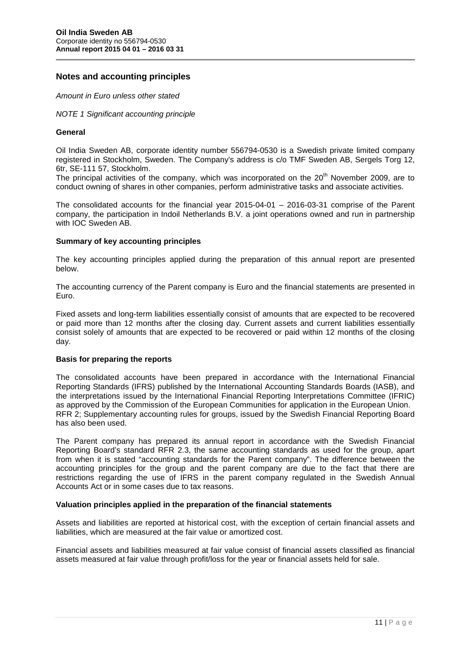# **Notes and accounting principles**

*Amount in Euro unless other stated*

*NOTE 1 Significant accounting principle*

#### **General**

Oil India Sweden AB, corporate identity number 556794-0530 is a Swedish private limited company registered in Stockholm, Sweden. The Company's address is c/o TMF Sweden AB, Sergels Torg 12, 6tr, SE-111 57, Stockholm.

The principal activities of the company, which was incorporated on the 20<sup>th</sup> November 2009, are to conduct owning of shares in other companies, perform administrative tasks and associate activities.

The consolidated accounts for the financial year 2015-04-01 – 2016-03-31 comprise of the Parent company, the participation in Indoil Netherlands B.V. a joint operations owned and run in partnership with IOC Sweden AB.

#### **Summary of key accounting principles**

The key accounting principles applied during the preparation of this annual report are presented below.

The accounting currency of the Parent company is Euro and the financial statements are presented in Euro.

Fixed assets and long-term liabilities essentially consist of amounts that are expected to be recovered or paid more than 12 months after the closing day. Current assets and current liabilities essentially consist solely of amounts that are expected to be recovered or paid within 12 months of the closing day.

# **Basis for preparing the reports**

The consolidated accounts have been prepared in accordance with the International Financial Reporting Standards (IFRS) published by the International Accounting Standards Boards (IASB), and the interpretations issued by the International Financial Reporting Interpretations Committee (IFRIC) as approved by the Commission of the European Communities for application in the European Union. RFR 2; Supplementary accounting rules for groups, issued by the Swedish Financial Reporting Board has also been used.

The Parent company has prepared its annual report in accordance with the Swedish Financial Reporting Board's standard RFR 2.3, the same accounting standards as used for the group, apart from when it is stated "accounting standards for the Parent company". The difference between the accounting principles for the group and the parent company are due to the fact that there are restrictions regarding the use of IFRS in the parent company regulated in the Swedish Annual Accounts Act or in some cases due to tax reasons.

#### **Valuation principles applied in the preparation of the financial statements**

Assets and liabilities are reported at historical cost, with the exception of certain financial assets and liabilities, which are measured at the fair value or amortized cost.

Financial assets and liabilities measured at fair value consist of financial assets classified as financial assets measured at fair value through profit/loss for the year or financial assets held for sale.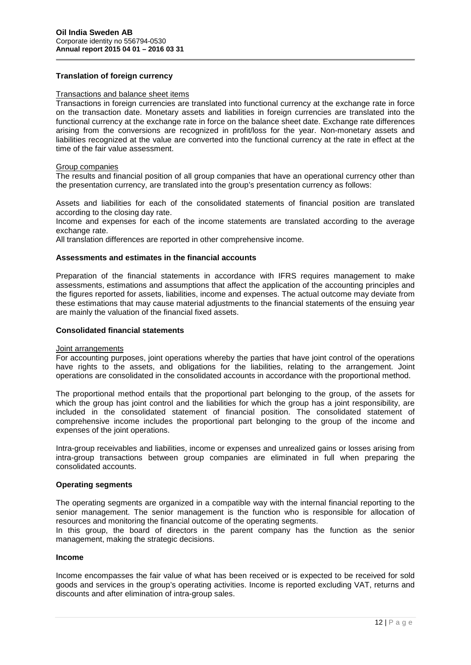### **Translation of foreign currency**

#### Transactions and balance sheet items

Transactions in foreign currencies are translated into functional currency at the exchange rate in force on the transaction date. Monetary assets and liabilities in foreign currencies are translated into the functional currency at the exchange rate in force on the balance sheet date. Exchange rate differences arising from the conversions are recognized in profit/loss for the year. Non-monetary assets and liabilities recognized at the value are converted into the functional currency at the rate in effect at the time of the fair value assessment.

#### Group companies

The results and financial position of all group companies that have an operational currency other than the presentation currency, are translated into the group's presentation currency as follows:

Assets and liabilities for each of the consolidated statements of financial position are translated according to the closing day rate.

Income and expenses for each of the income statements are translated according to the average exchange rate.

All translation differences are reported in other comprehensive income.

### **Assessments and estimates in the financial accounts**

Preparation of the financial statements in accordance with IFRS requires management to make assessments, estimations and assumptions that affect the application of the accounting principles and the figures reported for assets, liabilities, income and expenses. The actual outcome may deviate from these estimations that may cause material adjustments to the financial statements of the ensuing year are mainly the valuation of the financial fixed assets.

#### **Consolidated financial statements**

#### Joint arrangements

For accounting purposes, joint operations whereby the parties that have joint control of the operations have rights to the assets, and obligations for the liabilities, relating to the arrangement. Joint operations are consolidated in the consolidated accounts in accordance with the proportional method.

The proportional method entails that the proportional part belonging to the group, of the assets for which the group has joint control and the liabilities for which the group has a joint responsibility, are included in the consolidated statement of financial position. The consolidated statement of comprehensive income includes the proportional part belonging to the group of the income and expenses of the joint operations.

Intra-group receivables and liabilities, income or expenses and unrealized gains or losses arising from intra-group transactions between group companies are eliminated in full when preparing the consolidated accounts.

#### **Operating segments**

The operating segments are organized in a compatible way with the internal financial reporting to the senior management. The senior management is the function who is responsible for allocation of resources and monitoring the financial outcome of the operating segments.

In this group, the board of directors in the parent company has the function as the senior management, making the strategic decisions.

#### **Income**

returns and<br>12 | P a g e Income encompasses the fair value of what has been received or is expected to be received for sold goods and services in the group's operating activities. Income is reported excluding VAT, returns and discounts and after elimination of intra-group sales.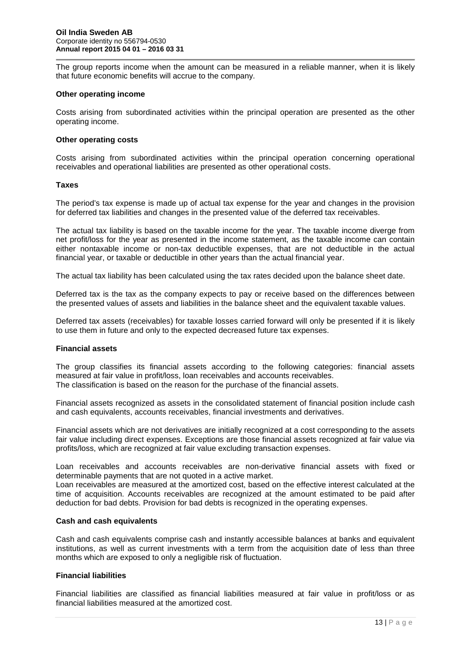The group reports income when the amount can be measured in a reliable manner, when it is likely that future economic benefits will accrue to the company.

#### **Other operating income**

Costs arising from subordinated activities within the principal operation are presented as the other operating income.

#### **Other operating costs**

Costs arising from subordinated activities within the principal operation concerning operational receivables and operational liabilities are presented as other operational costs.

#### **Taxes**

The period's tax expense is made up of actual tax expense for the year and changes in the provision for deferred tax liabilities and changes in the presented value of the deferred tax receivables.

The actual tax liability is based on the taxable income for the year. The taxable income diverge from net profit/loss for the year as presented in the income statement, as the taxable income can contain either nontaxable income or non-tax deductible expenses, that are not deductible in the actual financial year, or taxable or deductible in other years than the actual financial year.

The actual tax liability has been calculated using the tax rates decided upon the balance sheet date.

Deferred tax is the tax as the company expects to pay or receive based on the differences between the presented values of assets and liabilities in the balance sheet and the equivalent taxable values.

Deferred tax assets (receivables) for taxable losses carried forward will only be presented if it is likely to use them in future and only to the expected decreased future tax expenses.

#### **Financial assets**

The group classifies its financial assets according to the following categories: financial assets measured at fair value in profit/loss, loan receivables and accounts receivables. The classification is based on the reason for the purchase of the financial assets.

Financial assets recognized as assets in the consolidated statement of financial position include cash and cash equivalents, accounts receivables, financial investments and derivatives.

Financial assets which are not derivatives are initially recognized at a cost corresponding to the assets fair value including direct expenses. Exceptions are those financial assets recognized at fair value via profits/loss, which are recognized at fair value excluding transaction expenses.

Loan receivables and accounts receivables are non-derivative financial assets with fixed or determinable payments that are not quoted in a active market.

Loan receivables are measured at the amortized cost, based on the effective interest calculated at the time of acquisition. Accounts receivables are recognized at the amount estimated to be paid after deduction for bad debts. Provision for bad debts is recognized in the operating expenses.

#### **Cash and cash equivalents**

Cash and cash equivalents comprise cash and instantly accessible balances at banks and equivalent institutions, as well as current investments with a term from the acquisition date of less than three months which are exposed to only a negligible risk of fluctuation.

#### **Financial liabilities**

/loss or as<br>13 | P a g e Financial liabilities are classified as financial liabilities measured at fair value in profit/loss or as financial liabilities measured at the amortized cost.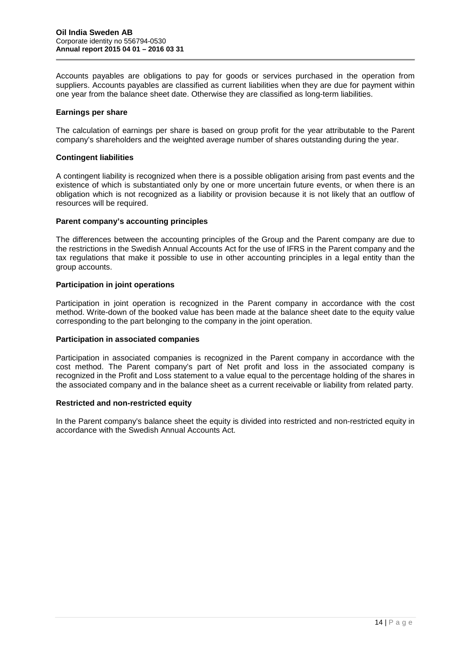Accounts payables are obligations to pay for goods or services purchased in the operation from suppliers. Accounts payables are classified as current liabilities when they are due for payment within one year from the balance sheet date. Otherwise they are classified as long-term liabilities.

#### **Earnings per share**

The calculation of earnings per share is based on group profit for the year attributable to the Parent company's shareholders and the weighted average number of shares outstanding during the year.

#### **Contingent liabilities**

A contingent liability is recognized when there is a possible obligation arising from past events and the existence of which is substantiated only by one or more uncertain future events, or when there is an obligation which is not recognized as a liability or provision because it is not likely that an outflow of resources will be required.

#### **Parent company's accounting principles**

The differences between the accounting principles of the Group and the Parent company are due to the restrictions in the Swedish Annual Accounts Act for the use of IFRS in the Parent company and the tax regulations that make it possible to use in other accounting principles in a legal entity than the group accounts.

#### **Participation in joint operations**

Participation in joint operation is recognized in the Parent company in accordance with the cost method. Write-down of the booked value has been made at the balance sheet date to the equity value corresponding to the part belonging to the company in the joint operation.

#### **Participation in associated companies**

Participation in associated companies is recognized in the Parent company in accordance with the cost method. The Parent company's part of Net profit and loss in the associated company is recognized in the Profit and Loss statement to a value equal to the percentage holding of the shares in the associated company and in the balance sheet as a current receivable or liability from related party.

#### **Restricted and non-restricted equity**

In the Parent company's balance sheet the equity is divided into restricted and non-restricted equity in accordance with the Swedish Annual Accounts Act.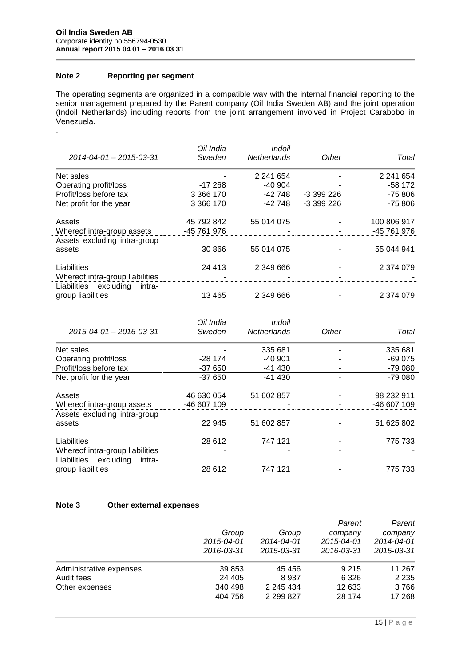# **Note 2 Reporting per segment**

.

The operating segments are organized in a compatible way with the internal financial reporting to the senior management prepared by the Parent company (Oil India Sweden AB) and the joint operation (Indoil Netherlands) including reports from the joint arrangement involved in Project Carabobo in Venezuela.

| $2014 - 04 - 01 - 2015 - 03 - 31$  | Oil India<br>Sweden | Indoil<br><b>Netherlands</b> | Other      | Total       |
|------------------------------------|---------------------|------------------------------|------------|-------------|
| Net sales                          |                     | 2 241 654                    |            | 2 241 654   |
| Operating profit/loss              | $-17268$            | $-40904$                     |            | $-58172$    |
| Profit/loss before tax             | 3 3 6 1 7 0         | -42 748                      | $-3399226$ | $-75806$    |
| Net profit for the year            | 3 3 6 1 7 0         | $-42748$                     | -3 399 226 | $-75806$    |
| Assets                             | 45 792 842          | 55 014 075                   |            | 100 806 917 |
| Whereof intra-group assets         | -45 761 976         |                              |            | -45 761 976 |
| Assets excluding intra-group       |                     |                              |            |             |
| assets                             | 30 866              | 55 014 075                   |            | 55 044 941  |
| Liabilities                        | 24 4 13             | 2 349 666                    |            | 2 374 079   |
| Whereof intra-group liabilities    |                     |                              |            |             |
| excluding<br>Liabilities<br>intra- |                     |                              |            |             |
| group liabilities                  | 13 4 65             | 2 349 666                    |            | 2 374 079   |

|                                    | Oil India   | Indoil             |       |             |
|------------------------------------|-------------|--------------------|-------|-------------|
| 2015-04-01 - 2016-03-31            | Sweden      | <b>Netherlands</b> | Other | Total       |
| Net sales                          |             | 335 681            |       | 335 681     |
| Operating profit/loss              | $-28174$    | $-40.901$          |       | $-69075$    |
| Profit/loss before tax             | $-37650$    | -41 430            |       | $-7900$     |
| Net profit for the year            | $-37650$    | $-41430$           |       | $-79000$    |
| Assets                             | 46 630 054  | 51 602 857         |       | 98 232 911  |
| Whereof intra-group assets         | -46 607 109 |                    |       | -46 607 109 |
| Assets excluding intra-group       |             |                    |       |             |
| assets                             | 22 945      | 51 602 857         |       | 51 625 802  |
| Liabilities                        | 28 612      | 747 121            |       | 775 733     |
| Whereof intra-group liabilities    |             |                    |       |             |
| Liabilities<br>excluding<br>intra- |             |                    |       |             |
| group liabilities                  | 28 612      | 747 121            |       | 775 733     |

#### **Note 3 Other external expenses**

|                         |                          |            | Parent     | Parent      |
|-------------------------|--------------------------|------------|------------|-------------|
|                         | Group                    | Group      | company    | company     |
|                         | 2015-04-01               | 2014-04-01 | 2015-04-01 | 2014-04-01  |
|                         | 2015-03-31<br>2016-03-31 |            | 2016-03-31 | 2015-03-31  |
| Administrative expenses | 39 853                   | 45 45 6    | 9 2 1 5    | 11 267      |
| Audit fees              | 24 405                   | 8937       | 6 3 2 6    | 2 2 3 5     |
| Other expenses          | 340 498                  | 2 245 434  | 12 633     | 3766        |
|                         | 404 756                  | 2 299 827  | 28 174     | 17 268      |
|                         |                          |            |            | $15$   Page |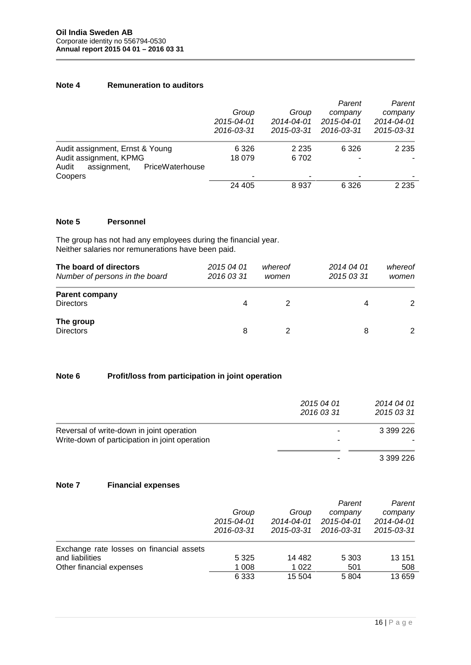# **Note 4 Remuneration to auditors**

|                                         |                          |                          | Parent     | Parent     |
|-----------------------------------------|--------------------------|--------------------------|------------|------------|
|                                         | Group                    | Group                    | company    | company    |
|                                         | 2015-04-01<br>2016-03-31 | 2014-04-01               | 2015-04-01 | 2014-04-01 |
|                                         |                          |                          | 2015-03-31 | 2016-03-31 |
| Audit assignment, Ernst & Young         | 6 3 2 6                  | 2 2 3 5                  | 6 3 2 6    | 2 2 3 5    |
| Audit assignment, KPMG                  | 18 079                   | 6702                     | ۰          | -          |
| Audit<br>PriceWaterhouse<br>assignment, |                          |                          |            |            |
| Coopers                                 |                          | $\overline{\phantom{0}}$ | ۰          | ۰          |
|                                         | 24 405                   | 8937                     | 6 3 2 6    | 2 2 3 5    |

# **Note 5 Personnel**

The group has not had any employees during the financial year. Neither salaries nor remunerations have been paid.

| The board of directors<br>Number of persons in the board | 2015 04 01<br>2016 03 31 | whereof<br>women | 2014 04 01<br>2015 03 31 | whereof<br>women |  |
|----------------------------------------------------------|--------------------------|------------------|--------------------------|------------------|--|
| <b>Parent company</b><br><b>Directors</b>                | 4                        |                  | 4                        |                  |  |
| The group<br><b>Directors</b>                            | 8                        |                  | 8                        |                  |  |

# **Note 6 Profit/loss from participation in joint operation**

|                                                | 2015 04 01<br>2016 03 31 | 2014 04 01<br>2015 03 31 |
|------------------------------------------------|--------------------------|--------------------------|
| Reversal of write-down in joint operation      | $\overline{\phantom{a}}$ | 3 399 226                |
| Write-down of participation in joint operation | ۰                        | ۰                        |
|                                                | $\blacksquare$           | 3 399 226                |

### **Note 7 Financial expenses**

|                                          |            |            | Parent     | Parent     |
|------------------------------------------|------------|------------|------------|------------|
|                                          | Group      | Group      | company    | company    |
|                                          | 2015-04-01 | 2014-04-01 | 2015-04-01 | 2014-04-01 |
|                                          | 2016-03-31 | 2015-03-31 | 2016-03-31 | 2015-03-31 |
| Exchange rate losses on financial assets |            |            |            |            |
| and liabilities                          | 5 3 2 5    | 14 4 8 2   | 5 3 0 3    | 13 151     |
| Other financial expenses                 | 1 008      | 1 0 2 2    | 501        | 508        |
|                                          | 6 3 3 3    | 15 504     | 5804       | 13 659     |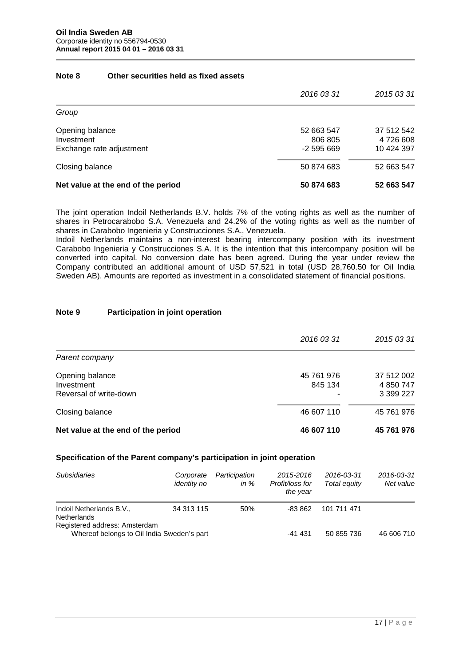### **Note 8 Other securities held as fixed assets**

|                                    | 2016 03 31 | 2015 03 31 |
|------------------------------------|------------|------------|
| Group                              |            |            |
| Opening balance                    | 52 663 547 | 37 512 542 |
| Investment                         | 806 805    | 4 726 608  |
| Exchange rate adjustment           | -2 595 669 | 10 424 397 |
| Closing balance                    | 50 874 683 | 52 663 547 |
| Net value at the end of the period | 50 874 683 | 52 663 547 |

The joint operation Indoil Netherlands B.V. holds 7% of the voting rights as well as the number of shares in Petrocarabobo S.A. Venezuela and 24.2% of the voting rights as well as the number of shares in Carabobo Ingenieria y Construcciones S.A., Venezuela.

Indoil Netherlands maintains a non-interest bearing intercompany position with its investment Carabobo Ingenieria y Construcciones S.A. It is the intention that this intercompany position will be converted into capital. No conversion date has been agreed. During the year under review the Company contributed an additional amount of USD 57,521 in total (USD 28,760.50 for Oil India Sweden AB). Amounts are reported as investment in a consolidated statement of financial positions.

### **Note 9 Participation in joint operation**

|                                                         | 2016 03 31                 | 2015 03 31                           |
|---------------------------------------------------------|----------------------------|--------------------------------------|
| Parent company                                          |                            |                                      |
| Opening balance<br>Investment<br>Reversal of write-down | 45 761 976<br>845 134<br>۰ | 37 512 002<br>4 850 747<br>3 399 227 |
| Closing balance                                         | 46 607 110                 | 45 761 976                           |
| Net value at the end of the period                      | 46 607 110                 | 45 761 976                           |

#### **Specification of the Parent company's participation in joint operation**

| <b>Subsidiaries</b>                                                         | Corporate<br><i>identity no</i> | Participation<br>in $\%$ | 2015-2016<br>Profit/loss for<br>the year | 2016-03-31<br>Total equity | 2016-03-31<br>Net value |
|-----------------------------------------------------------------------------|---------------------------------|--------------------------|------------------------------------------|----------------------------|-------------------------|
| Indoil Netherlands B.V.,<br><b>Netherlands</b>                              | 34 313 115                      | 50%                      | -83 862                                  | 101 711 471                |                         |
| Registered address: Amsterdam<br>Whereof belongs to Oil India Sweden's part |                                 |                          | $-41431$                                 | 50 855 736                 | 46 606 710              |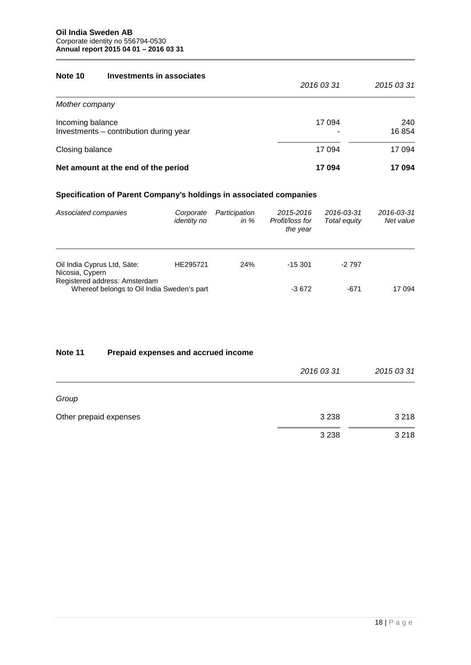### **Note 10 Investments in associates**

|                                                            | 2016 03 31 | 2015 03 31    |
|------------------------------------------------------------|------------|---------------|
| Mother company                                             |            |               |
| Incoming balance<br>Investments - contribution during year | 17 094     | 240<br>16 854 |
| Closing balance                                            | 17 094     | 17 094        |
| Net amount at the end of the period                        | 17 094     | 17 094        |

# **Specification of Parent Company's holdings in associated companies**

| Associated companies                                                        | Corporate<br><i>identity no</i> | Participation<br>in $%$ | 2015-2016<br>Profit/loss for<br>the year | 2016-03-31<br>Total equity | 2016-03-31<br>Net value |
|-----------------------------------------------------------------------------|---------------------------------|-------------------------|------------------------------------------|----------------------------|-------------------------|
| Oil India Cyprus Ltd, Säte:<br>Nicosia, Cypern                              | HE295721                        | 24%                     | $-15.301$                                | -2 797                     |                         |
| Registered address: Amsterdam<br>Whereof belongs to Oil India Sweden's part |                                 |                         | $-3672$                                  | -671                       | 17 094                  |

# **Note 11 Prepaid expenses and accrued income**

|                        | 2016 03 31 | 2015 03 31 |
|------------------------|------------|------------|
| Group                  |            |            |
| Other prepaid expenses | 3 2 3 8    | 3 2 1 8    |
|                        | 3 2 3 8    | 3 2 1 8    |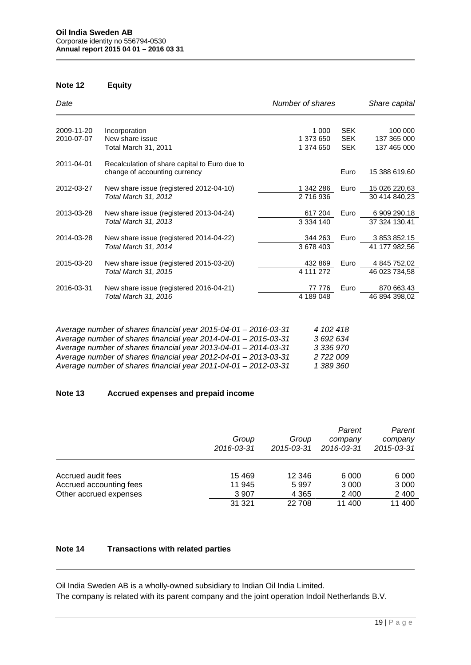# **Note 12 Equity**

| Date                                                                          |                                               | Number of shares |             | Share capital |
|-------------------------------------------------------------------------------|-----------------------------------------------|------------------|-------------|---------------|
| 2009-11-20                                                                    | Incorporation                                 | 1 0 0 0          | <b>SEK</b>  | 100 000       |
| 2010-07-07                                                                    | New share issue                               | 1 373 650        | <b>SEK</b>  | 137 365 000   |
| Total March 31, 2011                                                          | 1 374 650                                     | <b>SEK</b>       | 137 465 000 |               |
| 2011-04-01                                                                    | Recalculation of share capital to Euro due to |                  |             |               |
|                                                                               | change of accounting currency                 |                  | Euro        | 15 388 619,60 |
| 2012-03-27                                                                    | New share issue (registered 2012-04-10)       | 1 342 286        | Euro        | 15 026 220,63 |
| Total March 31, 2012                                                          |                                               | 2716936          |             | 30 414 840,23 |
| 2013-03-28                                                                    | New share issue (registered 2013-04-24)       | 617 204          | Euro        | 6 909 290,18  |
|                                                                               | Total March 31, 2013                          | 3 3 3 4 1 4 0    |             | 37 324 130,41 |
| 2014-03-28<br>New share issue (registered 2014-04-22)<br>Total March 31, 2014 |                                               | 344 263          | Euro        | 3 853 852,15  |
|                                                                               |                                               | 3 678 403        |             | 41 177 982,56 |
| 2015-03-20<br>Total March 31, 2015                                            | New share issue (registered 2015-03-20)       | 432 869          | Euro        | 4 845 752,02  |
|                                                                               |                                               | 4 111 272        |             | 46 023 734,58 |
| 2016-03-31                                                                    | New share issue (registered 2016-04-21)       | 77 776           | Euro        | 870 663,43    |
|                                                                               | Total March 31, 2016                          | 4 189 048        |             | 46 894 398,02 |

| Average number of shares financial year 2015-04-01 - 2016-03-31           | 4 102 418 |
|---------------------------------------------------------------------------|-----------|
| Average number of shares financial year 2014-04-01 - 2015-03-31           | 3 692 634 |
| Average number of shares financial year $2013 - 04 - 01 - 2014 - 03 - 31$ | 3 336 970 |
| Average number of shares financial year 2012-04-01 - 2013-03-31           | 2 722 009 |
| Average number of shares financial year 2011-04-01 - 2012-03-31           | 1 389 360 |

# **Note 13 Accrued expenses and prepaid income**

|                         | Group<br>2016-03-31 | Group<br>2015-03-31 | Parent<br>company<br>2016-03-31 | Parent<br>company<br>2015-03-31 |
|-------------------------|---------------------|---------------------|---------------------------------|---------------------------------|
| Accrued audit fees      | 15 4 69             | 12 346              | 6 0 0 0                         | 6 0 0 0                         |
| Accrued accounting fees | 11 945              | 5997                | 3 0 0 0                         | 3 0 0 0                         |
| Other accrued expenses  | 3 9 0 7             | 4 3 6 5             | 2 4 0 0                         | 2 4 0 0                         |
|                         | 31 321              | 22 708              | 11 400                          | 11 400                          |

# **Note 14 Transactions with related parties**

Oil India Sweden AB is a wholly-owned subsidiary to Indian Oil India Limited. The company is related with its parent company and the joint operation Indoil Netherlands B.V.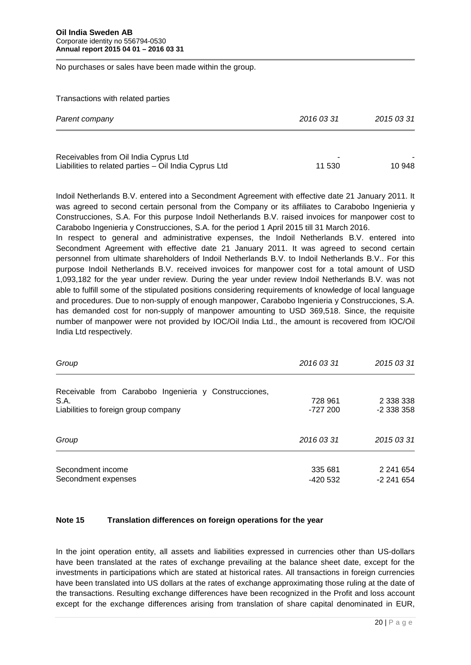No purchases or sales have been made within the group.

Transactions with related parties

| Parent company                                        | 2016 03 31 | 2015 03 31 |  |
|-------------------------------------------------------|------------|------------|--|
| Receivables from Oil India Cyprus Ltd                 |            | -          |  |
| Liabilities to related parties - Oil India Cyprus Ltd | 11 530     | 10 948     |  |

Indoil Netherlands B.V. entered into a Secondment Agreement with effective date 21 January 2011. It was agreed to second certain personal from the Company or its affiliates to Carabobo Ingenieria y Construcciones, S.A. For this purpose Indoil Netherlands B.V. raised invoices for manpower cost to Carabobo Ingenieria y Construcciones, S.A. for the period 1 April 2015 till 31 March 2016.

In respect to general and administrative expenses, the Indoil Netherlands B.V. entered into Secondment Agreement with effective date 21 January 2011. It was agreed to second certain personnel from ultimate shareholders of Indoil Netherlands B.V. to Indoil Netherlands B.V.. For this purpose Indoil Netherlands B.V. received invoices for manpower cost for a total amount of USD 1,093,182 for the year under review. During the year under review Indoil Netherlands B.V. was not able to fulfill some of the stipulated positions considering requirements of knowledge of local language and procedures. Due to non-supply of enough manpower, Carabobo Ingenieria y Construcciones, S.A. has demanded cost for non-supply of manpower amounting to USD 369,518. Since, the requisite number of manpower were not provided by IOC/Oil India Ltd., the amount is recovered from IOC/Oil India Ltd respectively.

| Group                                                 | 2016 03 31 | 2015 03 31      |
|-------------------------------------------------------|------------|-----------------|
| Receivable from Carabobo Ingenieria y Construcciones, |            |                 |
| S.A.                                                  | 728 961    | 2 3 3 3 3 3 3 8 |
| Liabilities to foreign group company                  | -727 200   | $-2338358$      |
| Group                                                 | 2016 03 31 | 2015 03 31      |
| Secondment income                                     | 335 681    | 2 241 654       |
| Secondment expenses                                   | -420 532   | -2 241 654      |

#### **Note 15 Translation differences on foreign operations for the year**

: the date of<br>pss account<br>ed in EUR,<br>20 | P a g e In the joint operation entity, all assets and liabilities expressed in currencies other than US-dollars have been translated at the rates of exchange prevailing at the balance sheet date, except for the investments in participations which are stated at historical rates. All transactions in foreign currencies have been translated into US dollars at the rates of exchange approximating those ruling at the date of the transactions. Resulting exchange differences have been recognized in the Profit and loss account except for the exchange differences arising from translation of share capital denominated in EUR,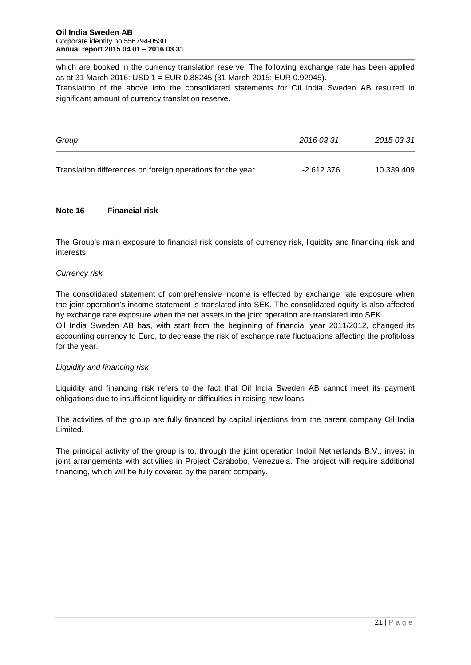which are booked in the currency translation reserve. The following exchange rate has been applied as at 31 March 2016: USD 1 = EUR 0.88245 (31 March 2015: EUR 0.92945).

Translation of the above into the consolidated statements for Oil India Sweden AB resulted in significant amount of currency translation reserve.

| Group                                                      | 2016 03 31 | 2015 03 31 |
|------------------------------------------------------------|------------|------------|
| Translation differences on foreign operations for the year | -2 612 376 | 10 339 409 |

### **Note 16 Financial risk**

The Group's main exposure to financial risk consists of currency risk, liquidity and financing risk and interests.

#### *Currency risk*

for the year.

The consolidated statement of comprehensive income is effected by exchange rate exposure when the joint operation's income statement is translated into SEK. The consolidated equity is also affected by exchange rate exposure when the net assets in the joint operation are translated into SEK. Oil India Sweden AB has, with start from the beginning of financial year 2011/2012, changed its accounting currency to Euro, to decrease the risk of exchange rate fluctuations affecting the profit/loss

### *Liquidity and financing risk*

Liquidity and financing risk refers to the fact that Oil India Sweden AB cannot meet its payment obligations due to insufficient liquidity or difficulties in raising new loans.

The activities of the group are fully financed by capital injections from the parent company Oil India Limited.

The principal activity of the group is to, through the joint operation Indoil Netherlands B.V., invest in joint arrangements with activities in Project Carabobo, Venezuela. The project will require additional financing, which will be fully covered by the parent company.